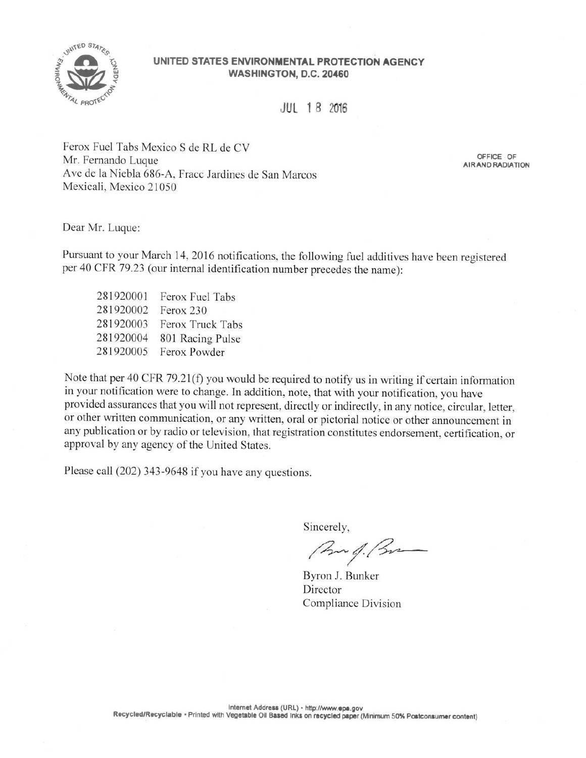

## UNITED STATES ENVIRONMENTAL PROTECTION AGENCY WASHINGTON, D.C. 20460

 $JUI$  18 2016

Ferox Fuel Tabs Mexico S de RL de CV Mr. Fernando Luque Ave de la Niebla 686-A, Fracc Jardines de San Marcos Mexicali, Mexico 21050

OFFICE OF AIR AND RADIATION

Dear Mr. Luque:

Pursuant to your March 14, 2016 notifications, the following fuel additives have been registered per 40 CFR 79.23 (our internal identification number precedes the name):

281920001 Ferox Fuel Tabs 281920002 Ferox 230 281920003 Ferox Truck Tabs 281920004 801 Racing Pulse 281920005 Ferox Powder

Note that per 40 CFR 79.21(f) you would be required to notify us in writing if certain information in your notification were to change. In addition, note, that with your notification, you have provided assurances that you will not represent, directly or indirectly, in any notice, circular, letter, or other written communication, or any written, oral or pictorial notice or other announcement in any publication or by radio or television, that registration constitutes endorsement, certification, or approval by any agency of the United States.

Please call (202) 343-9648 if you have any questions.

Sincerely,

Prof. Br

Byron J. Bunker Director **Compliance Division**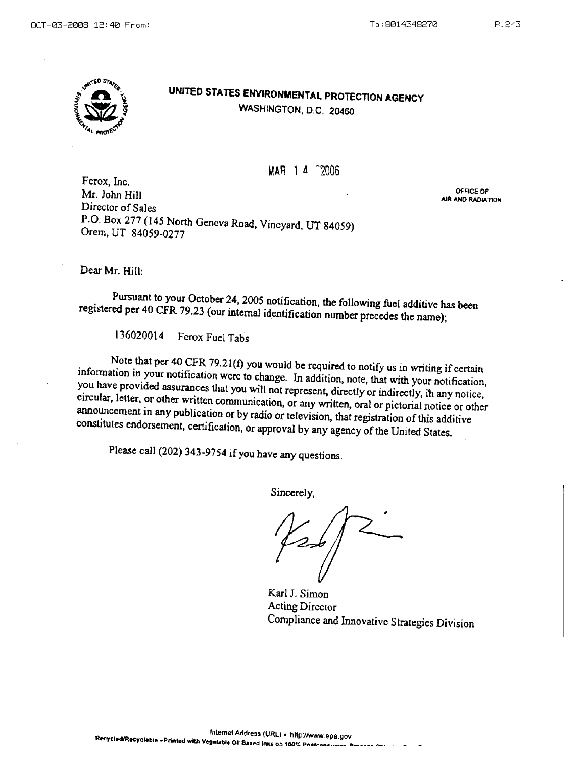

UNITED STATES ENVIRONMENTAL PROTECTION AGENCY WASHINGTON, D.C. 20460

MAR 1 4 2006

Ferox, Inc. Mr. John Hill Director of Sales P.O. Box 277 (145 North Geneva Road, Vineyard, UT 84059) Orem, UT 84059-0277

OFFICE OF AIR AND RADIATION

Dear Mr. Hill:

Pursuant to your October 24, 2005 notification, the following fuel additive has been registered per 40 CFR 79.23 (our internal identification number precedes the name);

136020014 Ferox Fuel Tabs

Note that per 40 CFR  $79.21(f)$  you would be required to notify us in writing if certain information in your notification were to change. In addition, note, that with your notification, you have provided assurances that you will not represent, directly or indirectly, in any notice, circular, letter, or other written communication, or any written, oral or pictorial notice or other announcement in any publication or by radio or television, that registration of this additive constitutes endorsement, certification, or approval by any agency of the United States.

Please call (202) 343-9754 if you have any questions.

Sincerely,

Karl J. Simon Acting Director Compliance and Innovative Strategies Division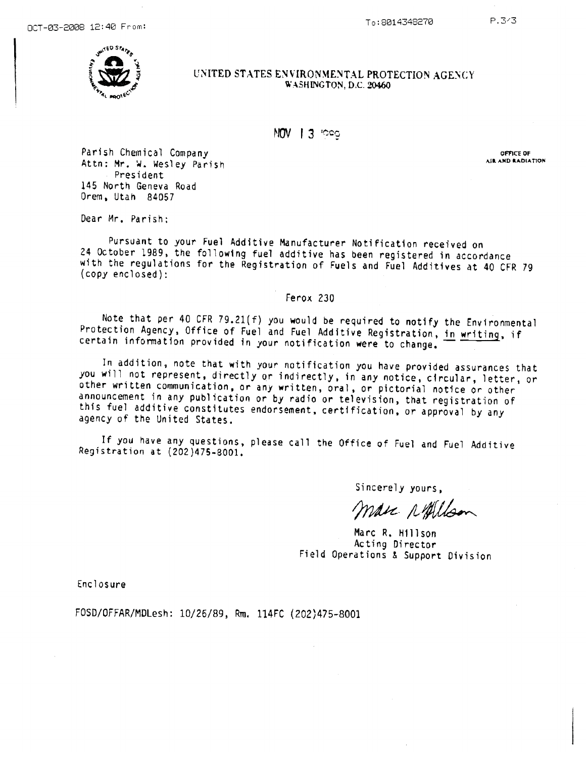

#### UNITED STATES ENVIRONMENTAL PROTECTION AGENCY WASHINGTON, D.C. 20460

### $NOT \perp 3 \text{ } ^{coco}$

Parish Chemical Company Attn: Mr. W. Wesley Parish President 145 North Geneva Road Orem, Utah 84057

Dear Mr. Parish:

Pursuant to your Fuel Additive Manufacturer Notification received on 24 October 1989, the following fuel additive has been registered in accordance with the regulations for the Registration of Fuels and Fuel Additives at 40 CFR 79  $(copy enclosed):$ 

#### Ferox 230

Note that per 40 CFR 79.21(f) you would be required to notify the Environmental Protection Agency, Office of Fuel and Fuel Additive Registration, in writing, if certain information provided in your notification were to change.

In addition, note that with your notification you have provided assurances that you will not represent, directly or indirectly, in any notice, circular, letter, or other written communication, or any written, oral, or pictorial notice or other announcement in any publication or by radio or television, that registration of this fuel additive constitutes endorsement, certification, or approval by any agency of the United States.

If you have any questions, please call the Office of Fuel and Fuel Additive Registration at (202)475-8001.

Sincerely yours,

marc Nillson

Marc R. Hillson Acting Director Field Operations & Support Division

Enclosure

FOSD/OFFAR/MDLesh: 10/26/89, Rm. 114FC (202)475-8001

OFFICE OF AIR AND RADIATION